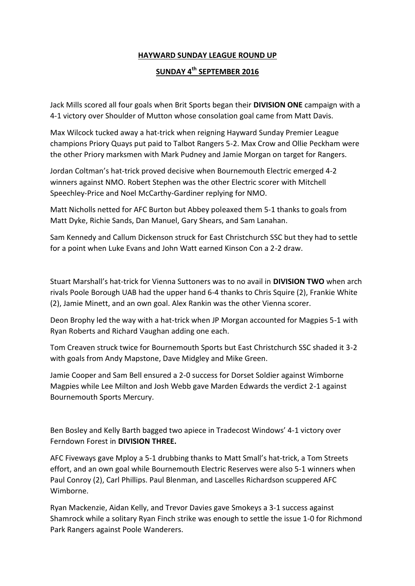## **HAYWARD SUNDAY LEAGUE ROUND UP**

## **SUNDAY 4th SEPTEMBER 2016**

Jack Mills scored all four goals when Brit Sports began their **DIVISION ONE** campaign with a 4-1 victory over Shoulder of Mutton whose consolation goal came from Matt Davis.

Max Wilcock tucked away a hat-trick when reigning Hayward Sunday Premier League champions Priory Quays put paid to Talbot Rangers 5-2. Max Crow and Ollie Peckham were the other Priory marksmen with Mark Pudney and Jamie Morgan on target for Rangers.

Jordan Coltman's hat-trick proved decisive when Bournemouth Electric emerged 4-2 winners against NMO. Robert Stephen was the other Electric scorer with Mitchell Speechley-Price and Noel McCarthy-Gardiner replying for NMO.

Matt Nicholls netted for AFC Burton but Abbey poleaxed them 5-1 thanks to goals from Matt Dyke, Richie Sands, Dan Manuel, Gary Shears, and Sam Lanahan.

Sam Kennedy and Callum Dickenson struck for East Christchurch SSC but they had to settle for a point when Luke Evans and John Watt earned Kinson Con a 2-2 draw.

Stuart Marshall's hat-trick for Vienna Suttoners was to no avail in **DIVISION TWO** when arch rivals Poole Borough UAB had the upper hand 6-4 thanks to Chris Squire (2), Frankie White (2), Jamie Minett, and an own goal. Alex Rankin was the other Vienna scorer.

Deon Brophy led the way with a hat-trick when JP Morgan accounted for Magpies 5-1 with Ryan Roberts and Richard Vaughan adding one each.

Tom Creaven struck twice for Bournemouth Sports but East Christchurch SSC shaded it 3-2 with goals from Andy Mapstone, Dave Midgley and Mike Green.

Jamie Cooper and Sam Bell ensured a 2-0 success for Dorset Soldier against Wimborne Magpies while Lee Milton and Josh Webb gave Marden Edwards the verdict 2-1 against Bournemouth Sports Mercury.

Ben Bosley and Kelly Barth bagged two apiece in Tradecost Windows' 4-1 victory over Ferndown Forest in **DIVISION THREE.**

AFC Fiveways gave Mploy a 5-1 drubbing thanks to Matt Small's hat-trick, a Tom Streets effort, and an own goal while Bournemouth Electric Reserves were also 5-1 winners when Paul Conroy (2), Carl Phillips. Paul Blenman, and Lascelles Richardson scuppered AFC Wimborne.

Ryan Mackenzie, Aidan Kelly, and Trevor Davies gave Smokeys a 3-1 success against Shamrock while a solitary Ryan Finch strike was enough to settle the issue 1-0 for Richmond Park Rangers against Poole Wanderers.